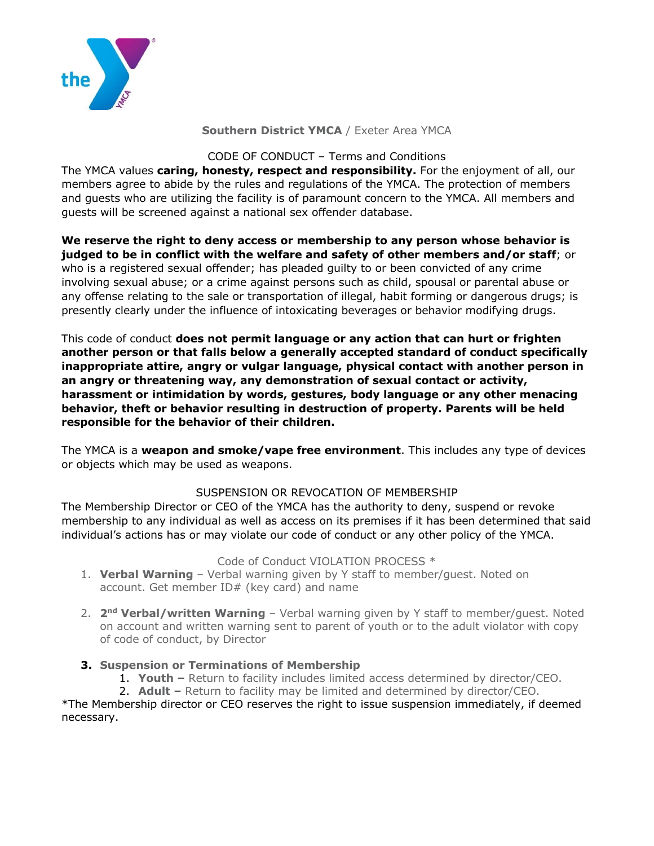

**Southern District YMCA** / Exeter Area YMCA

CODE OF CONDUCT – Terms and Conditions

The YMCA values **caring, honesty, respect and responsibility.** For the enjoyment of all, our members agree to abide by the rules and regulations of the YMCA. The protection of members and guests who are utilizing the facility is of paramount concern to the YMCA. All members and guests will be screened against a national sex offender database.

**We reserve the right to deny access or membership to any person whose behavior is judged to be in conflict with the welfare and safety of other members and/or staff**; or who is a registered sexual offender; has pleaded guilty to or been convicted of any crime involving sexual abuse; or a crime against persons such as child, spousal or parental abuse or any offense relating to the sale or transportation of illegal, habit forming or dangerous drugs; is presently clearly under the influence of intoxicating beverages or behavior modifying drugs.

This code of conduct **does not permit language or any action that can hurt or frighten another person or that falls below a generally accepted standard of conduct specifically inappropriate attire, angry or vulgar language, physical contact with another person in an angry or threatening way, any demonstration of sexual contact or activity, harassment or intimidation by words, gestures, body language or any other menacing behavior, theft or behavior resulting in destruction of property. Parents will be held responsible for the behavior of their children.**

The YMCA is a **weapon and smoke/vape free environment**. This includes any type of devices or objects which may be used as weapons.

# SUSPENSION OR REVOCATION OF MEMBERSHIP

The Membership Director or CEO of the YMCA has the authority to deny, suspend or revoke membership to any individual as well as access on its premises if it has been determined that said individual's actions has or may violate our code of conduct or any other policy of the YMCA.

# Code of Conduct VIOLATION PROCESS \*

- 1. **Verbal Warning** Verbal warning given by Y staff to member/guest. Noted on account. Get member ID# (key card) and name
- 2. **2nd Verbal/written Warning** Verbal warning given by Y staff to member/guest. Noted on account and written warning sent to parent of youth or to the adult violator with copy of code of conduct, by Director

# **3. Suspension or Terminations of Membership**

- 1. **Youth –** Return to facility includes limited access determined by director/CEO.
- 2. **Adult –** Return to facility may be limited and determined by director/CEO.

\*The Membership director or CEO reserves the right to issue suspension immediately, if deemed necessary.